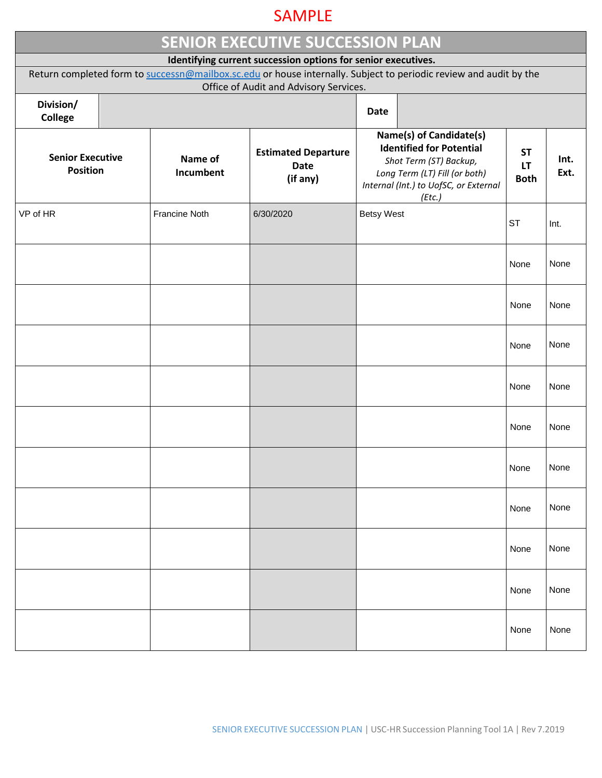## SAMPLE

| <b>SENIOR EXECUTIVE SUCCESSION PLAN</b>                                                                           |  |                      |                                                       |                                                                                                                                                                          |  |                                       |              |  |  |  |  |  |
|-------------------------------------------------------------------------------------------------------------------|--|----------------------|-------------------------------------------------------|--------------------------------------------------------------------------------------------------------------------------------------------------------------------------|--|---------------------------------------|--------------|--|--|--|--|--|
| Identifying current succession options for senior executives.                                                     |  |                      |                                                       |                                                                                                                                                                          |  |                                       |              |  |  |  |  |  |
| Return completed form to successn@mailbox.sc.edu or house internally. Subject to periodic review and audit by the |  |                      |                                                       |                                                                                                                                                                          |  |                                       |              |  |  |  |  |  |
| Office of Audit and Advisory Services.                                                                            |  |                      |                                                       |                                                                                                                                                                          |  |                                       |              |  |  |  |  |  |
| Division/<br>College                                                                                              |  |                      |                                                       |                                                                                                                                                                          |  |                                       |              |  |  |  |  |  |
| <b>Senior Executive</b><br><b>Position</b>                                                                        |  | Name of<br>Incumbent | <b>Estimated Departure</b><br><b>Date</b><br>(if any) | Name(s) of Candidate(s)<br><b>Identified for Potential</b><br>Shot Term (ST) Backup,<br>Long Term (LT) Fill (or both)<br>Internal (Int.) to UofSC, or External<br>(Etc.) |  | <b>ST</b><br><b>LT</b><br><b>Both</b> | Int.<br>Ext. |  |  |  |  |  |
| VP of HR                                                                                                          |  | <b>Francine Noth</b> | 6/30/2020                                             | <b>Betsy West</b>                                                                                                                                                        |  | <b>ST</b>                             | Int.         |  |  |  |  |  |
|                                                                                                                   |  |                      |                                                       |                                                                                                                                                                          |  | None                                  | None         |  |  |  |  |  |
|                                                                                                                   |  |                      |                                                       |                                                                                                                                                                          |  | None                                  | None         |  |  |  |  |  |
|                                                                                                                   |  |                      |                                                       |                                                                                                                                                                          |  | None                                  | None         |  |  |  |  |  |
|                                                                                                                   |  |                      |                                                       |                                                                                                                                                                          |  | None                                  | None         |  |  |  |  |  |
|                                                                                                                   |  |                      |                                                       |                                                                                                                                                                          |  | None                                  | None         |  |  |  |  |  |
|                                                                                                                   |  |                      |                                                       |                                                                                                                                                                          |  | None                                  | None         |  |  |  |  |  |
|                                                                                                                   |  |                      |                                                       |                                                                                                                                                                          |  | None                                  | None         |  |  |  |  |  |
|                                                                                                                   |  |                      |                                                       |                                                                                                                                                                          |  | None                                  | None         |  |  |  |  |  |
|                                                                                                                   |  |                      |                                                       |                                                                                                                                                                          |  | None                                  | None         |  |  |  |  |  |
|                                                                                                                   |  |                      |                                                       |                                                                                                                                                                          |  | None                                  | None         |  |  |  |  |  |